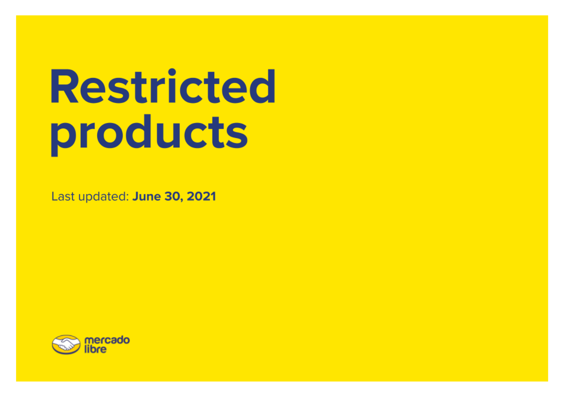## **Restricted** products

Last updated: June 30, 2021

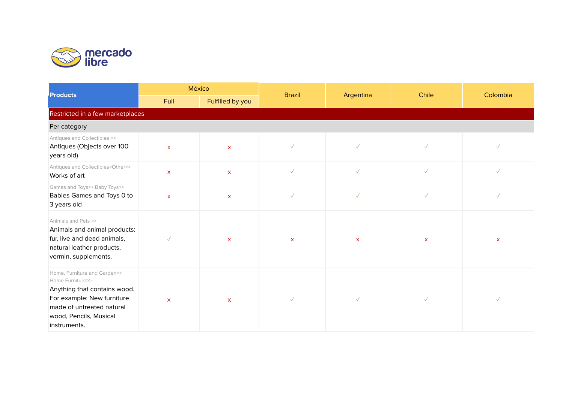

| <b>Products</b>                                                                                                                                                                       | México                    |                  | <b>Brazil</b> |              | Chile        | Colombia     |  |  |  |
|---------------------------------------------------------------------------------------------------------------------------------------------------------------------------------------|---------------------------|------------------|---------------|--------------|--------------|--------------|--|--|--|
|                                                                                                                                                                                       | Full                      | Fulfilled by you |               | Argentina    |              |              |  |  |  |
| Restricted in a few marketplaces                                                                                                                                                      |                           |                  |               |              |              |              |  |  |  |
| Per category                                                                                                                                                                          |                           |                  |               |              |              |              |  |  |  |
| Antiques and Collectibles >><br>Antiques (Objects over 100<br>years old)                                                                                                              | $\mathsf{x}$              | $\mathsf{X}$     | $\checkmark$  | $\checkmark$ | $\checkmark$ | $\checkmark$ |  |  |  |
| Antiques and Collectibles>Other>><br>Works of art                                                                                                                                     | $\mathsf{x}$              | $\mathsf{X}$     | $\checkmark$  | $\checkmark$ | $\checkmark$ | $\checkmark$ |  |  |  |
| Games and Toys>> Baby Toys>><br>Babies Games and Toys 0 to<br>3 years old                                                                                                             | $\boldsymbol{\mathsf{x}}$ | $\mathsf{x}$     | $\checkmark$  | $\checkmark$ | $\checkmark$ | $\checkmark$ |  |  |  |
| Animals and Pets >><br>Animals and animal products:<br>fur, live and dead animals,<br>natural leather products,<br>vermin, supplements.                                               | $\checkmark$              | $\mathsf{x}$     | $\mathsf{x}$  | $\mathsf{x}$ | $\mathsf{x}$ | $\mathsf{X}$ |  |  |  |
| Home, Furniture and Garden>><br>Home Furniture>><br>Anything that contains wood.<br>For example: New furniture<br>made of untreated natural<br>wood, Pencils, Musical<br>instruments. | $\mathsf{x}$              | $\mathsf{x}$     | $\sqrt{2}$    | $\checkmark$ | $\checkmark$ | $\checkmark$ |  |  |  |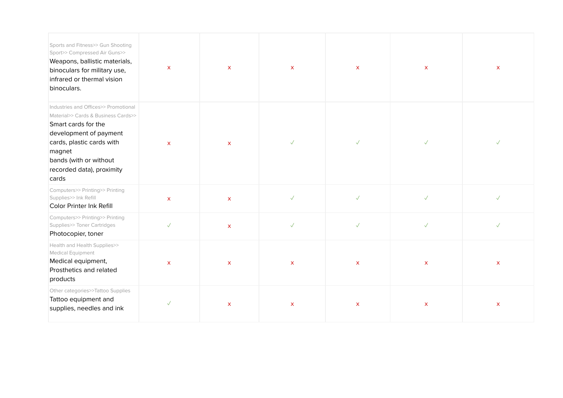| Sports and Fitness>> Gun Shooting<br>Sport>> Compressed Air Guns>><br>Weapons, ballistic materials,<br>binoculars for military use,<br>infrared or thermal vision<br>binoculars.                                                    | $\mathsf{x}$       | $\mathsf{x}$ | $\mathsf{x}$ | $\mathsf{x}$       | $\mathsf{x}$ | $\mathsf{x}$       |
|-------------------------------------------------------------------------------------------------------------------------------------------------------------------------------------------------------------------------------------|--------------------|--------------|--------------|--------------------|--------------|--------------------|
| Industries and Offices>> Promotional<br>Material>> Cards & Business Cards>><br>Smart cards for the<br>development of payment<br>cards, plastic cards with<br>magnet<br>bands (with or without<br>recorded data), proximity<br>cards | $\mathsf{x}$       | $\mathsf{x}$ | $\checkmark$ | $\checkmark$       | $\checkmark$ | $\checkmark$       |
| Computers>> Printing>> Printing<br>Supplies>> Ink Refill<br>Color Printer Ink Refill                                                                                                                                                | $\pmb{\mathsf{X}}$ | $\mathsf{X}$ | $\checkmark$ | $\checkmark$       | $\checkmark$ | $\checkmark$       |
| Computers>> Printing>> Printing<br>Supplies>> Toner Cartridges<br>Photocopier, toner                                                                                                                                                | $\checkmark$       | $\mathsf{x}$ | $\checkmark$ | $\checkmark$       | $\checkmark$ | $\checkmark$       |
| Health and Health Supplies>><br>Medical Equipment<br>Medical equipment,<br>Prosthetics and related<br>products                                                                                                                      | $\pmb{\times}$     | $\mathsf{X}$ | $\mathsf{x}$ | $\pmb{\mathsf{X}}$ | $\mathsf X$  | $\pmb{\mathsf{X}}$ |
| Other categories>>Tattoo Supplies<br>Tattoo equipment and<br>supplies, needles and ink                                                                                                                                              | $\checkmark$       | $\mathsf{X}$ | $\mathsf{X}$ | $\mathsf{X}$       | $\mathsf{X}$ | $\pmb{\mathsf{X}}$ |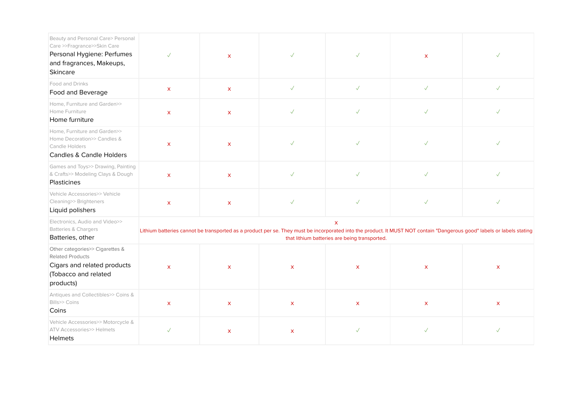| Beauty and Personal Care> Personal<br>Care >>Fragrance>>Skin Care<br>Personal Hygiene: Perfumes<br>and fragrances, Makeups,<br>Skincare | $\sqrt{}$          | $\mathsf{x}$       | $\checkmark$       | $\checkmark$                                                  | X.                                                                                                                                                                     | $\checkmark$ |
|-----------------------------------------------------------------------------------------------------------------------------------------|--------------------|--------------------|--------------------|---------------------------------------------------------------|------------------------------------------------------------------------------------------------------------------------------------------------------------------------|--------------|
| Food and Drinks<br>Food and Beverage                                                                                                    | $\mathsf{x}$       | $\mathsf{x}$       | $\checkmark$       | $\checkmark$                                                  | $\sqrt{}$                                                                                                                                                              | $\sqrt{}$    |
| Home, Furniture and Garden>><br>Home Furniture<br>Home furniture                                                                        | $\pmb{\mathsf{X}}$ | $\pmb{\mathsf{X}}$ | $\checkmark$       | $\checkmark$                                                  | $\checkmark$                                                                                                                                                           | $\checkmark$ |
| Home, Furniture and Garden>><br>Home Decoration>> Candles &<br>Candle Holders<br><b>Candles &amp; Candle Holders</b>                    | $\pmb{\mathsf{X}}$ | $\mathsf{x}$       | $\checkmark$       | $\checkmark$                                                  | $\checkmark$                                                                                                                                                           | $\checkmark$ |
| Games and Toys>> Drawing, Painting<br>& Crafts>> Modeling Clays & Dough<br>Plasticines                                                  | $\mathsf{x}$       | $\mathsf{x}$       | $\checkmark$       | $\checkmark$                                                  | $\checkmark$                                                                                                                                                           | $\checkmark$ |
| Vehicle Accessories>> Vehicle<br>Cleaning>> Brighteners<br>Liquid polishers                                                             | $\pmb{\mathsf{X}}$ | $\pmb{\mathsf{X}}$ | $\checkmark$       | $\checkmark$                                                  | $\checkmark$                                                                                                                                                           | $\checkmark$ |
| Electronics, Audio and Video>><br>Batteries & Chargers<br>Batteries, other                                                              |                    |                    |                    | $\mathsf{x}$<br>that lithium batteries are being transported. | Lithium batteries cannot be transported as a product per se. They must be incorporated into the product. It MUST NOT contain "Dangerous good" labels or labels stating |              |
| Other categories>> Cigarettes &<br><b>Related Products</b><br>Cigars and related products<br>(Tobacco and related<br>products)          | $\mathsf{x}$       | $\mathsf{x}$       | $\mathsf{x}$       | $\mathsf{x}$                                                  | $\mathsf{x}$                                                                                                                                                           | $\mathsf{X}$ |
| Antiques and Collectibles>> Coins &<br>Bills>> Coins<br>Coins                                                                           | $\pmb{\mathsf{X}}$ | $\mathsf{x}$       | $\pmb{\mathsf{X}}$ | $\pmb{\mathsf{X}}$                                            | $\mathsf{X}$                                                                                                                                                           | $\mathsf{X}$ |
| Vehicle Accessories>> Motorcycle &<br><b>ATV Accessories&gt;&gt; Helmets</b><br>Helmets                                                 | $\checkmark$       | $\pmb{\mathsf{X}}$ | $\mathsf{X}$       | $\checkmark$                                                  | $\checkmark$                                                                                                                                                           | $\sqrt{}$    |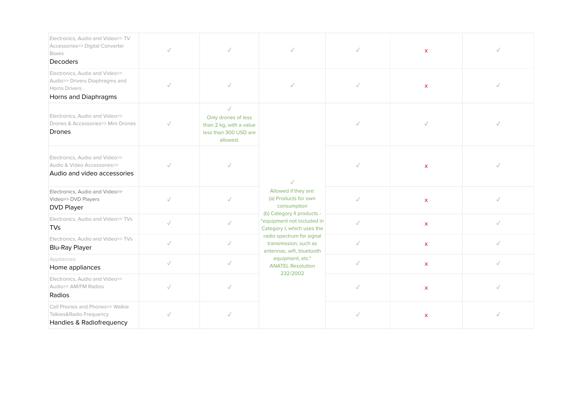| Electronics, Audio and Video>> TV<br>Accessories>> Digital Converter<br><b>Boxes</b><br>Decoders          | $\checkmark$ | $\checkmark$                                                                                     | $\checkmark$                                                                           | $\checkmark$ | $\mathsf{x}$       | $\checkmark$ |
|-----------------------------------------------------------------------------------------------------------|--------------|--------------------------------------------------------------------------------------------------|----------------------------------------------------------------------------------------|--------------|--------------------|--------------|
| Electronics, Audio and Video>><br>Audio>> Drivers Diaphragms and<br>Horns Drivers<br>Horns and Diaphragms | $\checkmark$ |                                                                                                  | $\sqrt{}$                                                                              | $\checkmark$ | $\mathsf{x}$       |              |
| Electronics, Audio and Video>><br>Drones & Accessories>> Mini Drones<br><b>Drones</b>                     | $\checkmark$ | $\sqrt{}$<br>Only drones of less<br>than 2 kg, with a value<br>less than 300 USD are<br>allowed. | $\sqrt{}$<br>Allowed if they are:<br>(a) Products for own<br>consumption               | $\checkmark$ |                    |              |
| Electronics. Audio and Video>><br>Audio & Video Accessories>><br>Audio and video accessories              | $\checkmark$ |                                                                                                  |                                                                                        | $\checkmark$ | $\pmb{\mathsf{X}}$ |              |
| Electronics, Audio and Video>><br>Video>> DVD Players<br><b>DVD Player</b>                                | $\checkmark$ | $\checkmark$                                                                                     |                                                                                        | $\checkmark$ | $\mathsf{x}$       | $\checkmark$ |
| Electronics, Audio and Video>> TVs<br><b>TVs</b>                                                          | $\checkmark$ | $\checkmark$                                                                                     | (b) Category II products -<br>"equipment not included in<br>Category I, which uses the | $\sqrt{}$    | $\mathsf{X}$       | $\checkmark$ |
| Electronics, Audio and Video>> TVs<br><b>Blu-Ray Player</b>                                               | $\checkmark$ | $\checkmark$                                                                                     | radio spectrum for signal<br>transmission, such as<br>antennas, wifi, bluetooth        | $\checkmark$ | $\mathsf{X}$       | $\checkmark$ |
| Appliances<br>Home appliances                                                                             | $\checkmark$ | $\checkmark$                                                                                     | equipment, etc."<br><b>ANATEL Resolution</b>                                           | $\checkmark$ | $\mathsf{X}$       | $\checkmark$ |
| Electronics, Audio and Video>><br>Audio>> AM/FM Radios<br>Radios                                          | $\checkmark$ | $\checkmark$                                                                                     | 232/2002                                                                               | $\checkmark$ | $\mathsf{x}$       | $\checkmark$ |
| Cell Phones and Phones>> Walkie<br>Talkies&Radio Frequency<br>Handies & Radiofrequency                    | $\checkmark$ |                                                                                                  |                                                                                        | $\checkmark$ | $\mathsf{x}$       | $\checkmark$ |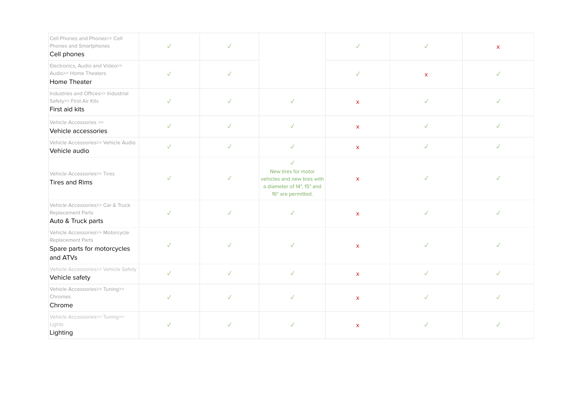| Cell Phones and Phones>> Cell<br>Phones and Smartphones<br>Cell phones                           | $\checkmark$ | $\sqrt{}$    |                                                                                                                        | $\sqrt{}$    | $\checkmark$ | $\mathsf{x}$ |
|--------------------------------------------------------------------------------------------------|--------------|--------------|------------------------------------------------------------------------------------------------------------------------|--------------|--------------|--------------|
| Electronics, Audio and Video>><br>Audio>> Home Theaters<br>Home Theater                          | $\checkmark$ | $\checkmark$ |                                                                                                                        | $\checkmark$ | $\mathsf{x}$ | $\checkmark$ |
| Industries and Offices>> Industrial<br>Safety>> First Air Kits<br>First aid kits                 | $\checkmark$ | $\sqrt{}$    | $\checkmark$                                                                                                           | $\mathsf{x}$ | $\checkmark$ | $\checkmark$ |
| Vehicle Accessories >><br>Vehicle accessories                                                    | $\checkmark$ | $\sqrt{}$    | $\checkmark$                                                                                                           | $\mathsf{x}$ | $\sqrt{}$    | $\sqrt{}$    |
| Vehicle Accessories>> Vehicle Audio<br>Vehicle audio                                             | $\checkmark$ | $\checkmark$ | $\checkmark$                                                                                                           | $\mathsf{X}$ | $\checkmark$ | $\checkmark$ |
| Vehicle Accessories>> Tires<br>Tires and Rims                                                    | $\checkmark$ | $\checkmark$ | $\checkmark$<br>New tires for motor<br>vehicles and new tires with<br>a diameter of 14", 15" and<br>16" are permitted. | $\mathsf{x}$ | $\checkmark$ | $\checkmark$ |
| Vehicle Accessories>> Car & Truck<br>Replacement Parts<br>Auto & Truck parts                     | $\checkmark$ | $\checkmark$ | $\checkmark$                                                                                                           | $\mathsf{x}$ | $\checkmark$ | $\checkmark$ |
| Vehicle Accessories>> Motorcycle<br>Replacement Parts<br>Spare parts for motorcycles<br>and ATVs | $\checkmark$ | $\checkmark$ | $\checkmark$                                                                                                           | $\mathsf{x}$ | $\checkmark$ | $\checkmark$ |
| Vehicle Accessories>> Vehicle Safety<br>Vehicle safety                                           | $\checkmark$ | $\checkmark$ | $\checkmark$                                                                                                           | $\mathsf X$  | $\checkmark$ | $\checkmark$ |
| Vehicle Accessories>> Tuning>><br>Chromes<br>Chrome                                              | $\checkmark$ | $\checkmark$ | $\checkmark$                                                                                                           | $\mathsf{x}$ | $\checkmark$ | $\checkmark$ |
| Vehicle Accessories>> Tuning>><br>Lights<br>Lighting                                             | $\checkmark$ | $\sqrt{}$    | $\checkmark$                                                                                                           | $\mathsf X$  | $\checkmark$ | $\checkmark$ |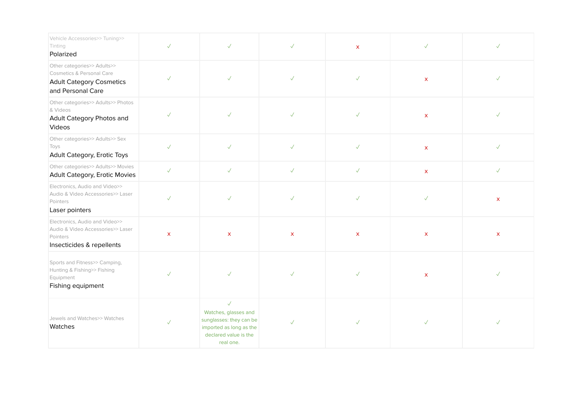| Vehicle Accessories>> Tuning>><br>Tinting<br>Polarized                                                           | $\checkmark$       | $\sqrt{}$                                                                                                                        | $\checkmark$ | $\mathsf{x}$ | $\checkmark$ | $\sqrt{}$    |
|------------------------------------------------------------------------------------------------------------------|--------------------|----------------------------------------------------------------------------------------------------------------------------------|--------------|--------------|--------------|--------------|
| Other categories>> Adults>><br>Cosmetics & Personal Care<br><b>Adult Category Cosmetics</b><br>and Personal Care | $\checkmark$       | $\checkmark$                                                                                                                     | $\checkmark$ | $\checkmark$ | $\mathsf{X}$ | $\checkmark$ |
| Other categories>> Adults>> Photos<br>& Videos<br>Adult Category Photos and<br>Videos                            | $\checkmark$       | $\checkmark$                                                                                                                     | $\checkmark$ | $\checkmark$ | $\mathsf{X}$ |              |
| Other categories>> Adults>> Sex<br>Toys<br>Adult Category, Erotic Toys                                           | $\checkmark$       | $\sqrt{}$                                                                                                                        | $\checkmark$ | $\checkmark$ | $\mathsf{X}$ | $\checkmark$ |
| Other categories>> Adults>> Movies<br>Adult Category, Erotic Movies                                              | $\checkmark$       | $\checkmark$                                                                                                                     | $\checkmark$ | $\checkmark$ | $\mathsf X$  | $\checkmark$ |
| Electronics, Audio and Video>><br>Audio & Video Accessories>> Laser<br>Pointers<br>Laser pointers                | $\checkmark$       | $\sqrt{}$                                                                                                                        | $\checkmark$ | $\checkmark$ | $\checkmark$ | $\mathsf{X}$ |
| Electronics, Audio and Video>><br>Audio & Video Accessories>> Laser<br>Pointers<br>Insecticides & repellents     | $\pmb{\mathsf{X}}$ | $\mathsf{x}$                                                                                                                     | $\mathsf{x}$ | $\mathsf{x}$ | $\mathsf{x}$ | $\mathsf{x}$ |
| Sports and Fitness>> Camping,<br>Hunting & Fishing>> Fishing<br>Equipment<br>Fishing equipment                   | $\checkmark$       | $\checkmark$                                                                                                                     | $\checkmark$ | $\checkmark$ | $\mathsf{X}$ |              |
| Jewels and Watches>> Watches<br>Watches                                                                          | $\checkmark$       | $\checkmark$<br>Watches, glasses and<br>sunglasses: they can be<br>imported as long as the<br>declared value is the<br>real one. | $\checkmark$ | $\checkmark$ | $\checkmark$ | $\checkmark$ |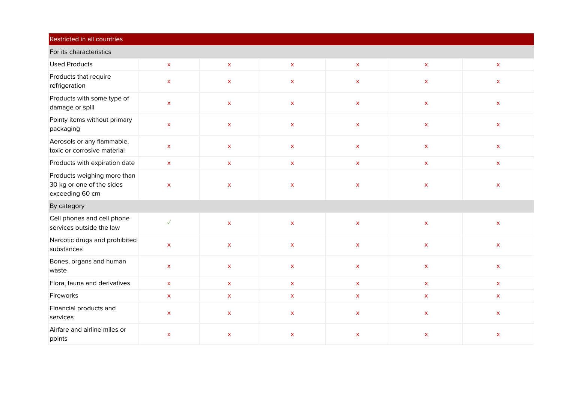| Restricted in all countries                                                 |                    |                    |                    |                    |                           |                                        |  |  |
|-----------------------------------------------------------------------------|--------------------|--------------------|--------------------|--------------------|---------------------------|----------------------------------------|--|--|
| For its characteristics                                                     |                    |                    |                    |                    |                           |                                        |  |  |
| <b>Used Products</b>                                                        | $\mathsf X$        | $\mathsf{X}$       | $\mathsf X$        | $\mathsf X$        | $\mathsf X$               | $\mathsf{X}^{\scriptscriptstyle \top}$ |  |  |
| Products that require<br>refrigeration                                      | $\mathsf{X}$       | $\pmb{\mathsf{X}}$ | $\pmb{\mathsf{X}}$ | $\mathsf X$        | $\mathsf{X}$              | $\mathsf X$                            |  |  |
| Products with some type of<br>damage or spill                               | $\mathsf{X}$       | $\mathsf{x}$       | $\mathsf{X}$       | $\mathsf{X}$       | $\mathsf{x}$              | $\mathsf{X}$                           |  |  |
| Pointy items without primary<br>packaging                                   | $\mathsf X$        | $\mathsf X$        | $\mathsf X$        | $\mathsf X$        | $\mathsf X$               | $\mathsf X$                            |  |  |
| Aerosols or any flammable,<br>toxic or corrosive material                   | $\mathsf X$        | $\mathsf X$        | $\mathsf X$        | $\mathsf X$        | $\mathsf X$               | $\mathsf X$                            |  |  |
| Products with expiration date                                               | $\mathsf X$        | $\mathsf X$        | $\mathsf X$        | $\mathsf X$        | $\mathsf X$               | $\mathsf X$                            |  |  |
| Products weighing more than<br>30 kg or one of the sides<br>exceeding 60 cm | $\pmb{\mathsf{X}}$ | $\pmb{\mathsf{X}}$ | $\pmb{\mathsf{X}}$ | $\pmb{\times}$     | $\pmb{\mathsf{X}}$        | $\pmb{\mathsf{X}}$                     |  |  |
| By category                                                                 |                    |                    |                    |                    |                           |                                        |  |  |
| Cell phones and cell phone<br>services outside the law                      | $\checkmark$       | $\mathsf X$        | $\mathsf X$        | $\mathsf X$        | $\mathsf X$               | $\mathsf X$                            |  |  |
| Narcotic drugs and prohibited<br>substances                                 | $\mathsf X$        | $\mathsf{X}$       | $\mathsf X$        | $\mathsf X$        | $\boldsymbol{\mathsf{X}}$ | $\mathsf X$                            |  |  |
| Bones, organs and human<br>waste                                            | $\mathsf X$        | $\mathsf X$        | $\pmb{\mathsf{X}}$ | $\mathsf X$        | $\mathsf X$               | $\mathsf{X}$                           |  |  |
| Flora, fauna and derivatives                                                | $\mathsf X$        | $\mathsf X$        | $\mathsf X$        | $\bar{\mathbf{x}}$ | $\mathsf X$               | $\mathsf X$                            |  |  |
| Fireworks                                                                   | $\mathsf X$        | $\mathsf{X}$       | $\mathsf X$        | $\mathsf X$        | $\mathsf X$               | $\mathsf{X}^{\scriptscriptstyle \top}$ |  |  |
| Financial products and<br>services                                          | $\mathsf X$        | $\mathsf{X}$       | $\mathsf X$        | $\mathsf X$        | $\mathsf X$               | $\mathsf X$                            |  |  |
| Airfare and airline miles or<br>points                                      | $\pmb{\mathsf{X}}$ | $\pmb{\mathsf{X}}$ | $\pmb{\mathsf{X}}$ | $\pmb{\mathsf{X}}$ | $\pmb{\mathsf{X}}$        | $\mathsf{x}$                           |  |  |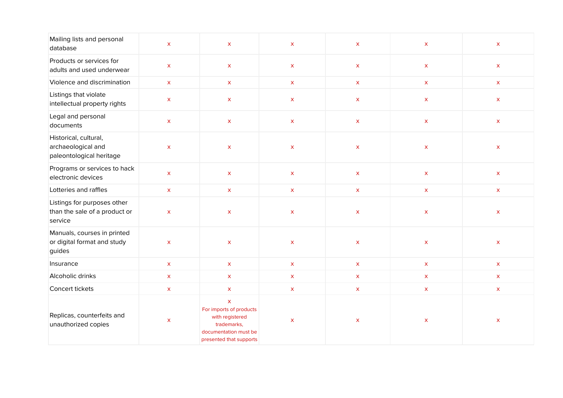| Mailing lists and personal<br>database                                  | $\pmb{\times}$            | $\pmb{\mathsf{X}}$                                                                                                           | $\pmb{\mathsf{x}}$ | $\pmb{\mathsf{x}}$        | $\mathsf{X}$              | $\mathsf{X}$                           |
|-------------------------------------------------------------------------|---------------------------|------------------------------------------------------------------------------------------------------------------------------|--------------------|---------------------------|---------------------------|----------------------------------------|
| Products or services for<br>adults and used underwear                   | $\pmb{\mathsf{X}}$        | $\mathsf{X}$                                                                                                                 | $\mathsf{X}$       | $\mathsf{X}$              | $\mathsf{X}$              | $\mathsf{X}$                           |
| Violence and discrimination                                             | $\mathsf X$               | $\mathsf X$                                                                                                                  | $\mathsf X$        | $\mathsf X$               | $\mathsf X$               | $\mathsf{X}$                           |
| Listings that violate<br>intellectual property rights                   | $\mathsf X$               | $\mathsf X$                                                                                                                  | $\mathsf X$        | $\mathsf X$               | $\mathsf X$               | $\mathsf X$                            |
| Legal and personal<br>documents                                         | $\pmb{\mathsf{X}}$        | $\mathsf{X}$                                                                                                                 | $\mathsf{X}$       | $\mathsf{X}$              | $\mathsf{X}$              | $\mathsf{X}$                           |
| Historical, cultural,<br>archaeological and<br>paleontological heritage | $\boldsymbol{\mathsf{X}}$ | $\mathsf X$                                                                                                                  | $\mathsf X$        | $\mathsf{X}$              | $\mathsf X$               | $\mathsf X$                            |
| Programs or services to hack<br>electronic devices                      | $\boldsymbol{\mathsf{X}}$ | $\mathsf{X}$                                                                                                                 | $\mathsf X$        | $\mathsf X$               | $\mathsf X$               | $\mathsf X$                            |
| Lotteries and raffles                                                   | $\mathsf X$               | $\mathsf X$                                                                                                                  | $\mathsf X$        | $\mathsf X$               | $\mathsf X$               | $\mathsf{X}^-$                         |
| Listings for purposes other<br>than the sale of a product or<br>service | $\pmb{\times}$            | $\pmb{\mathsf{X}}$                                                                                                           | $\pmb{\mathsf{X}}$ | $\mathsf X$               | $\mathsf X$               | $\mathsf X$                            |
| Manuals, courses in printed<br>or digital format and study<br>guides    | $\bar{\mathbf{x}}$        | $\mathsf X$                                                                                                                  | $\pmb{\mathsf{x}}$ | $\mathsf X$               | $\mathsf{X}$              | $\mathsf{X}$                           |
| Insurance                                                               | $\mathsf X$               | $\mathsf X$                                                                                                                  | $\mathsf X$        | $\mathsf X$               | $\mathsf{X}$              | $\mathsf{X}^{\scriptscriptstyle \top}$ |
| Alcoholic drinks                                                        | $\mathsf X$               | $\boldsymbol{\mathsf{X}}$                                                                                                    | $\mathsf X$        | $\mathsf X$               | $\mathsf{X}^-$            | $\mathsf{X}$                           |
| Concert tickets                                                         | $\mathsf X$               | $\mathsf X$                                                                                                                  | $\mathsf X$        | $\mathsf X$               | $\mathsf{X}$              | $\mathsf{X}^{\scriptscriptstyle \top}$ |
| Replicas, counterfeits and<br>unauthorized copies                       | $\pmb{\times}$            | $\mathsf X$<br>For imports of products<br>with registered<br>trademarks,<br>documentation must be<br>presented that supports | $\pmb{\mathsf{x}}$ | $\boldsymbol{\mathsf{X}}$ | $\boldsymbol{\mathsf{X}}$ | X                                      |